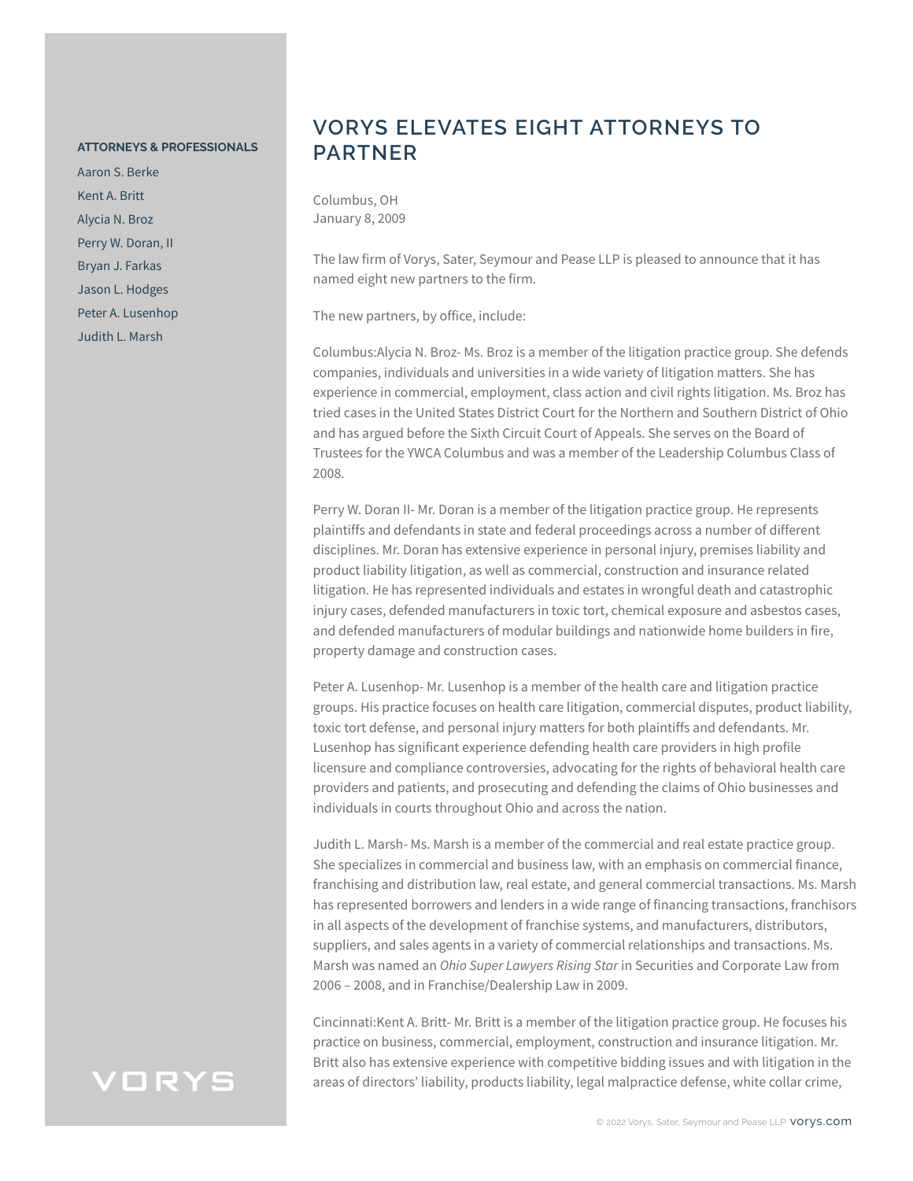#### **ATTORNEYS & PROFESSIONALS**

Aaron S. Berke Kent A. Britt Alycia N. Broz Perry W. Doran, II Bryan J. Farkas Jason L. Hodges Peter A. Lusenhop Judith L. Marsh

### **VORYS ELEVATES EIGHT ATTORNEYS TO PARTNER**

Columbus, OH January 8, 2009

The law firm of Vorys, Sater, Seymour and Pease LLP is pleased to announce that it has named eight new partners to the firm.

The new partners, by office, include:

Columbus:Alycia N. Broz- Ms. Broz is a member of the litigation practice group. She defends companies, individuals and universities in a wide variety of litigation matters. She has experience in commercial, employment, class action and civil rights litigation. Ms. Broz has tried cases in the United States District Court for the Northern and Southern District of Ohio and has argued before the Sixth Circuit Court of Appeals. She serves on the Board of Trustees for the YWCA Columbus and was a member of the Leadership Columbus Class of 2008.

Perry W. Doran II- Mr. Doran is a member of the litigation practice group. He represents plaintiffs and defendants in state and federal proceedings across a number of different disciplines. Mr. Doran has extensive experience in personal injury, premises liability and product liability litigation, as well as commercial, construction and insurance related litigation. He has represented individuals and estates in wrongful death and catastrophic injury cases, defended manufacturers in toxic tort, chemical exposure and asbestos cases, and defended manufacturers of modular buildings and nationwide home builders in fire, property damage and construction cases.

Peter A. Lusenhop- Mr. Lusenhop is a member of the health care and litigation practice groups. His practice focuses on health care litigation, commercial disputes, product liability, toxic tort defense, and personal injury matters for both plaintiffs and defendants. Mr. Lusenhop has significant experience defending health care providers in high profile licensure and compliance controversies, advocating for the rights of behavioral health care providers and patients, and prosecuting and defending the claims of Ohio businesses and individuals in courts throughout Ohio and across the nation.

Judith L. Marsh- Ms. Marsh is a member of the commercial and real estate practice group. She specializes in commercial and business law, with an emphasis on commercial finance, franchising and distribution law, real estate, and general commercial transactions. Ms. Marsh has represented borrowers and lenders in a wide range of financing transactions, franchisors in all aspects of the development of franchise systems, and manufacturers, distributors, suppliers, and sales agents in a variety of commercial relationships and transactions. Ms. Marsh was named an *Ohio Super Lawyers Rising Star* in Securities and Corporate Law from 2006 – 2008, and in Franchise/Dealership Law in 2009.

Cincinnati:Kent A. Britt- Mr. Britt is a member of the litigation practice group. He focuses his practice on business, commercial, employment, construction and insurance litigation. Mr. Britt also has extensive experience with competitive bidding issues and with litigation in the areas of directors' liability, products liability, legal malpractice defense, white collar crime,

## VORYS